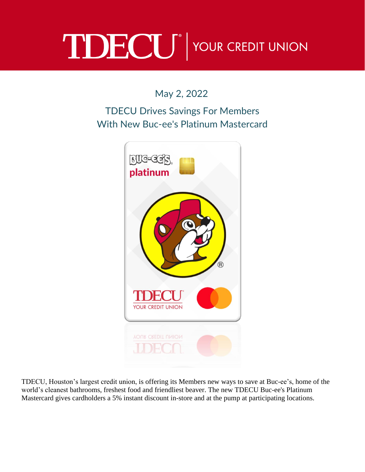## TDECU<sup>®</sup> YOUR CREDIT UNION

May 2, 2022

## TDECU Drives Savings For Members With New Buc-ee's Platinum Mastercard



TDECU, Houston's largest credit union, is offering its Members new ways to save at Buc-ee's, home of the world's cleanest bathrooms, freshest food and friendliest beaver. The new TDECU Buc-ee's Platinum Mastercard gives cardholders a 5% instant discount in-store and at the pump at participating locations.